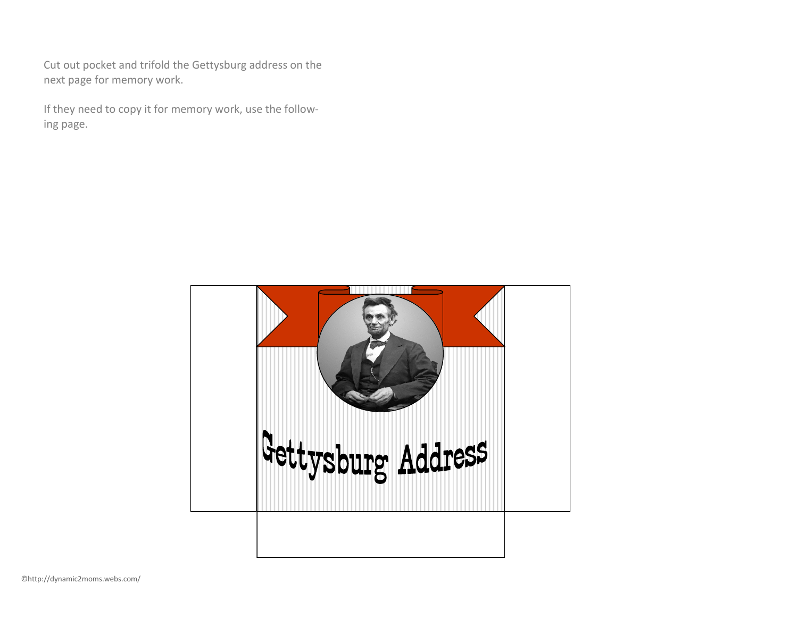Cut out pocket and trifold the Gettysburg address on the next page for memory work.

If they need to copy it for memory work, use the following page.

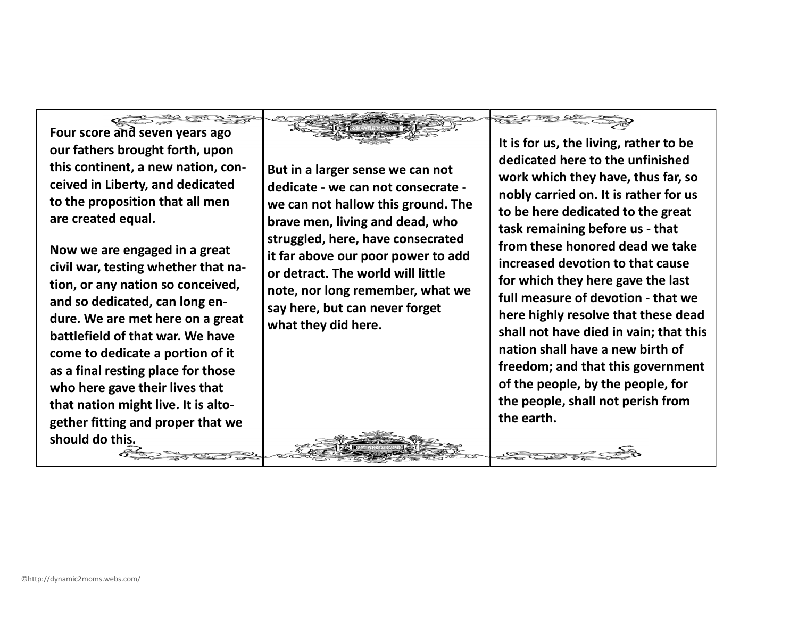**Four score and seven years ago our fathers brought forth, upon this continent, a new nation, conceived in Liberty, and dedicated to the proposition that all men are created equal.**

**Now we are engaged in a great civil war, testing whether that nation, or any nation so conceived, and so dedicated, can long endure. We are met here on a great battlefield of that war. We have come to dedicate a portion of it as a final resting place for those who here gave their lives that that nation might live. It is altogether fitting and proper that we should do this.**

 $\ll$  of  $\gg$ 

**But in a larger sense we can not dedicate - we can not consecrate we can not hallow this ground. The brave men, living and dead, who struggled, here, have consecrated it far above our poor power to add or detract. The world will little note, nor long remember, what we say here, but can never forget what they did here.**

**It is for us, the living, rather to be dedicated here to the unfinished work which they have, thus far, so nobly carried on. It is rather for us to be here dedicated to the great task remaining before us - that from these honored dead we take increased devotion to that cause for which they here gave the last full measure of devotion - that we here highly resolve that these dead shall not have died in vain; that this nation shall have a new birth of freedom; and that this government of the people, by the people, for the people, shall not perish from the earth.**